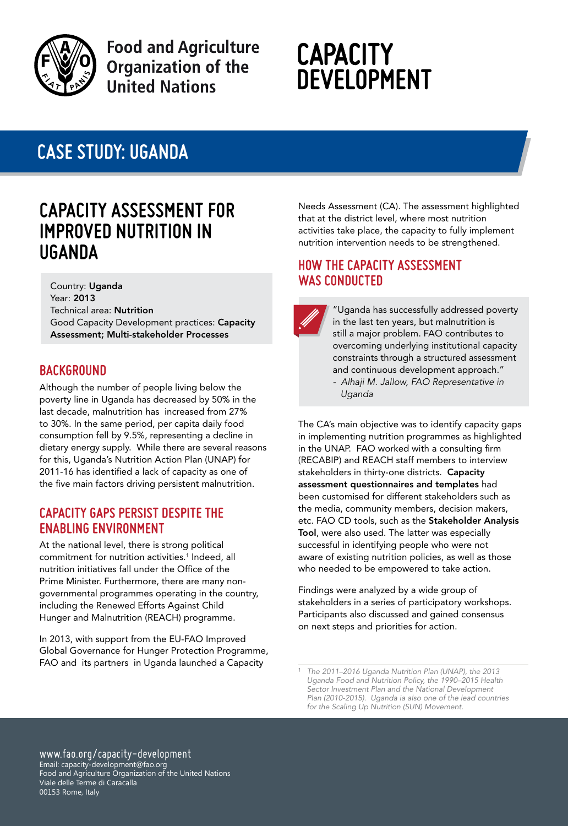

**Food and Agriculture Organization of the United Nations** 

# **CAPACITY DEVELOPMENT**

## **case study: UGANDA**

### **Capacity Assessment for Improved Nutrition in Uganda**

Country: Uganda Year: 2013 Technical area: Nutrition Good Capacity Development practices: Capacity Assessment; Multi-stakeholder Processes

#### **BAckground**

Although the number of people living below the poverty line in Uganda has decreased by 50% in the last decade, malnutrition has increased from 27% to 30%. In the same period, per capita daily food consumption fell by 9.5%, representing a decline in dietary energy supply. While there are several reasons for this, Uganda's Nutrition Action Plan (UNAP) for 2011-16 has identified a lack of capacity as one of the five main factors driving persistent malnutrition.

#### **capacity gaps persist despite the enabling environment**

At the national level, there is strong political commitment for nutrition activities.<sup>1</sup> Indeed, all nutrition initiatives fall under the Office of the Prime Minister. Furthermore, there are many nongovernmental programmes operating in the country, including the Renewed Efforts Against Child Hunger and Malnutrition (REACH) programme.

In 2013, with support from the EU-FAO Improved Global Governance for Hunger Protection Programme, FAO and its partners in Uganda launched a Capacity

Needs Assessment (CA). The assessment highlighted that at the district level, where most nutrition activities take place, the capacity to fully implement nutrition intervention needs to be strengthened.

#### **How the capacity assessment was conducted**



"Uganda has successfully addressed poverty in the last ten years, but malnutrition is still a major problem. FAO contributes to overcoming underlying institutional capacity constraints through a structured assessment and continuous development approach."

*- Alhaji M. Jallow, FAO Representative in Uganda*

The CA's main objective was to identify capacity gaps in implementing nutrition programmes as highlighted in the UNAP. FAO worked with a consulting firm (RECABIP) and REACH staff members to interview stakeholders in thirty-one districts. Capacity assessment questionnaires and templates had been customised for different stakeholders such as the media, community members, decision makers, etc. FAO CD tools, such as the Stakeholder Analysis Tool, were also used. The latter was especially successful in identifying people who were not aware of existing nutrition policies, as well as those who needed to be empowered to take action.

Findings were analyzed by a wide group of stakeholders in a series of participatory workshops. Participants also discussed and gained consensus on next steps and priorities for action.

www.fao.org/capacity-development Email: capacity-development@fao.org Food and Agriculture Organization of the United Nations Viale delle Terme di Caracalla 00153 Rome, Italy

*<sup>1</sup> The 2011–2016 Uganda Nutrition Plan (UNAP), the 2013 Uganda Food and Nutrition Policy, the 1990–2015 Health Sector Investment Plan and the National Development Plan (2010-2015). Uganda ia also one of the lead countries for the Scaling Up Nutrition (SUN) Movement.*